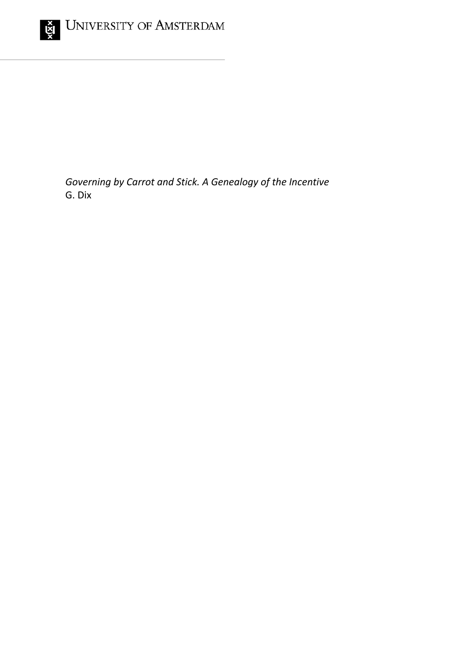

*Governing by Carrot and Stick. A Genealogy of the Incentive* G. Dix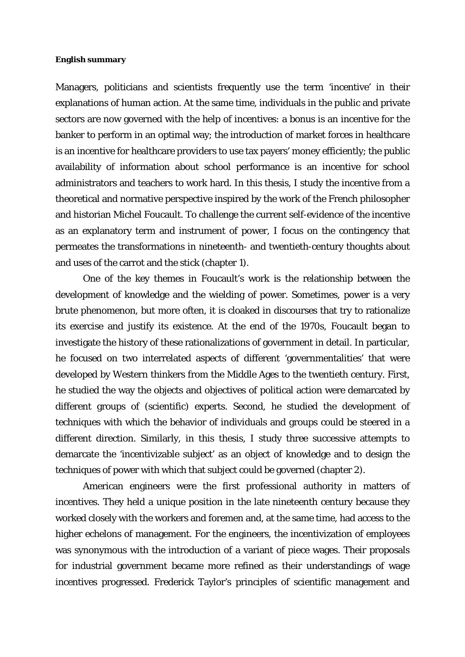## **English summary**

Managers, politicians and scientists frequently use the term 'incentive' in their explanations of human action. At the same time, individuals in the public and private sectors are now governed with the help of incentives: a bonus is an incentive for the banker to perform in an optimal way; the introduction of market forces in healthcare is an incentive for healthcare providers to use tax payers' money efficiently; the public availability of information about school performance is an incentive for school administrators and teachers to work hard. In this thesis, I study the incentive from a theoretical and normative perspective inspired by the work of the French philosopher and historian Michel Foucault. To challenge the current self-evidence of the incentive as an explanatory term and instrument of power, I focus on the contingency that permeates the transformations in nineteenth- and twentieth-century thoughts about and uses of the carrot and the stick (chapter 1).

One of the key themes in Foucault's work is the relationship between the development of knowledge and the wielding of power. Sometimes, power is a very brute phenomenon, but more often, it is cloaked in discourses that try to rationalize its exercise and justify its existence. At the end of the 1970s, Foucault began to investigate the history of these rationalizations of government in detail. In particular, he focused on two interrelated aspects of different 'governmentalities' that were developed by Western thinkers from the Middle Ages to the twentieth century. First, he studied the way the objects and objectives of political action were demarcated by different groups of (scientific) experts. Second, he studied the development of techniques with which the behavior of individuals and groups could be steered in a different direction. Similarly, in this thesis, I study three successive attempts to demarcate the 'incentivizable subject' as an object of knowledge and to design the techniques of power with which that subject could be governed (chapter 2).

American engineers were the first professional authority in matters of incentives. They held a unique position in the late nineteenth century because they worked closely with the workers and foremen and, at the same time, had access to the higher echelons of management. For the engineers, the incentivization of employees was synonymous with the introduction of a variant of piece wages. Their proposals for industrial government became more refined as their understandings of wage incentives progressed. Frederick Taylor's principles of scientific management and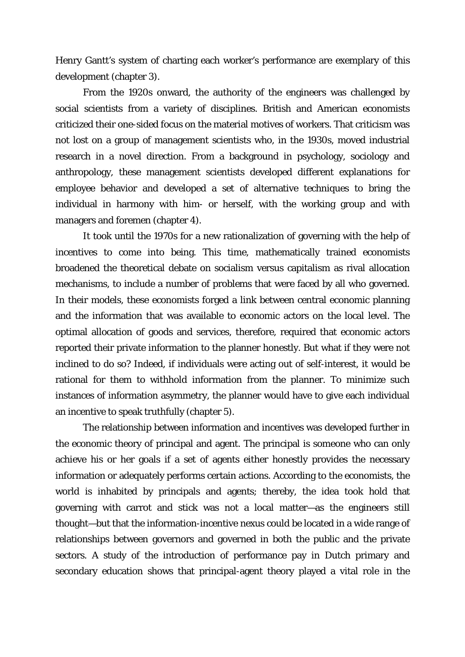Henry Gantt's system of charting each worker's performance are exemplary of this development (chapter 3).

From the 1920s onward, the authority of the engineers was challenged by social scientists from a variety of disciplines. British and American economists criticized their one-sided focus on the material motives of workers. That criticism was not lost on a group of management scientists who, in the 1930s, moved industrial research in a novel direction. From a background in psychology, sociology and anthropology, these management scientists developed different explanations for employee behavior and developed a set of alternative techniques to bring the individual in harmony with him- or herself, with the working group and with managers and foremen (chapter 4).

It took until the 1970s for a new rationalization of governing with the help of incentives to come into being. This time, mathematically trained economists broadened the theoretical debate on socialism versus capitalism as rival allocation mechanisms, to include a number of problems that were faced by all who governed. In their models, these economists forged a link between central economic planning and the information that was available to economic actors on the local level. The optimal allocation of goods and services, therefore, required that economic actors reported their private information to the planner honestly. But what if they were not inclined to do so? Indeed, if individuals were acting out of self-interest, it would be rational for them to withhold information from the planner. To minimize such instances of information asymmetry, the planner would have to give each individual an incentive to speak truthfully (chapter 5).

The relationship between information and incentives was developed further in the economic theory of principal and agent. The principal is someone who can only achieve his or her goals if a set of agents either honestly provides the necessary information or adequately performs certain actions. According to the economists, the world is inhabited by principals and agents; thereby, the idea took hold that governing with carrot and stick was not a local matter—as the engineers still thought—but that the information-incentive nexus could be located in a wide range of relationships between governors and governed in both the public and the private sectors. A study of the introduction of performance pay in Dutch primary and secondary education shows that principal-agent theory played a vital role in the